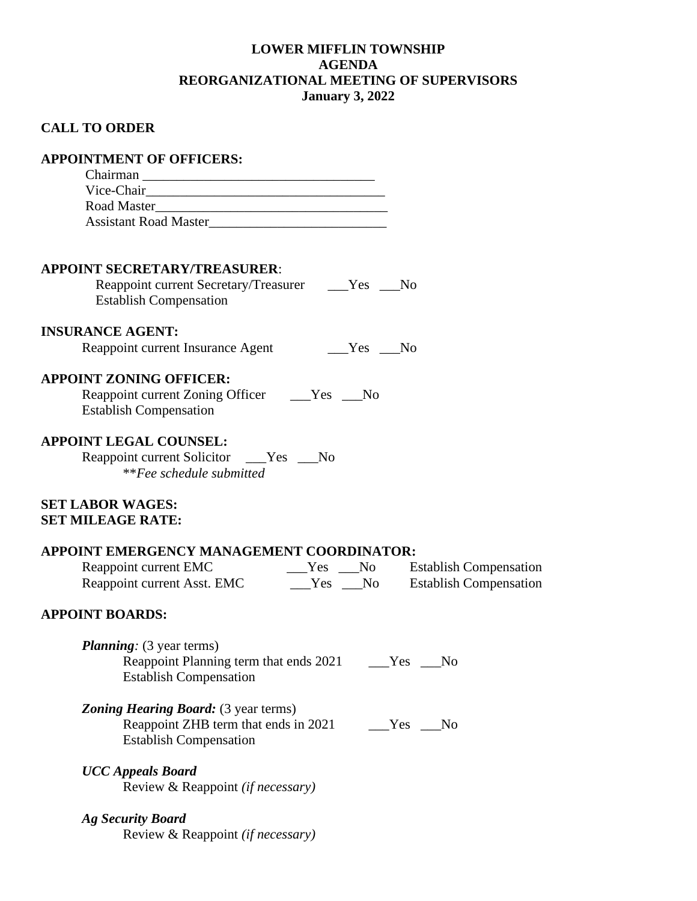## **LOWER MIFFLIN TOWNSHIP AGENDA REORGANIZATIONAL MEETING OF SUPERVISORS January 3, 2022**

# **CALL TO ORDER**

| <b>APPOINTMENT OF OFFICERS:</b>                                                                                                                                                                                                                                          |                              |
|--------------------------------------------------------------------------------------------------------------------------------------------------------------------------------------------------------------------------------------------------------------------------|------------------------------|
|                                                                                                                                                                                                                                                                          |                              |
|                                                                                                                                                                                                                                                                          |                              |
|                                                                                                                                                                                                                                                                          |                              |
| Assistant Road Master                                                                                                                                                                                                                                                    |                              |
| <b>APPOINT SECRETARY/TREASURER:</b>                                                                                                                                                                                                                                      |                              |
| Reappoint current Secretary/Treasurer _____Yes ____No<br><b>Establish Compensation</b>                                                                                                                                                                                   |                              |
| <b>INSURANCE AGENT:</b>                                                                                                                                                                                                                                                  |                              |
| Reappoint current Insurance Agent<br><b>The Second Second</b> Second Second Second Second Second Second Second Second Second Second Second Second Second Second Second Second Second Second Second Second Second Second Second Second Second Second Second Second Second |                              |
| <b>APPOINT ZONING OFFICER:</b><br>Reappoint current Zoning Officer ______Yes _____No<br><b>Establish Compensation</b>                                                                                                                                                    |                              |
| <b>APPOINT LEGAL COUNSEL:</b><br>Reappoint current Solicitor ____Yes ___No<br><i>**Fee schedule submitted</i>                                                                                                                                                            |                              |
| <b>SET LABOR WAGES:</b><br><b>SET MILEAGE RATE:</b>                                                                                                                                                                                                                      |                              |
| APPOINT EMERGENCY MANAGEMENT COORDINATOR:                                                                                                                                                                                                                                |                              |
|                                                                                                                                                                                                                                                                          |                              |
|                                                                                                                                                                                                                                                                          |                              |
| <b>APPOINT BOARDS:</b>                                                                                                                                                                                                                                                   |                              |
| <i>Planning:</i> (3 year terms)<br>Reappoint Planning term that ends 2021<br><b>Establish Compensation</b>                                                                                                                                                               | Yes<br>No                    |
| <b>Zoning Hearing Board:</b> (3 year terms)<br>Reappoint ZHB term that ends in 2021<br><b>Establish Compensation</b>                                                                                                                                                     | N <sub>0</sub><br>$Yes \t -$ |
| <b>UCC Appeals Board</b><br>Review & Reappoint (if necessary)                                                                                                                                                                                                            |                              |
| <b>Ag Security Board</b><br>Review & Reappoint (if necessary)                                                                                                                                                                                                            |                              |